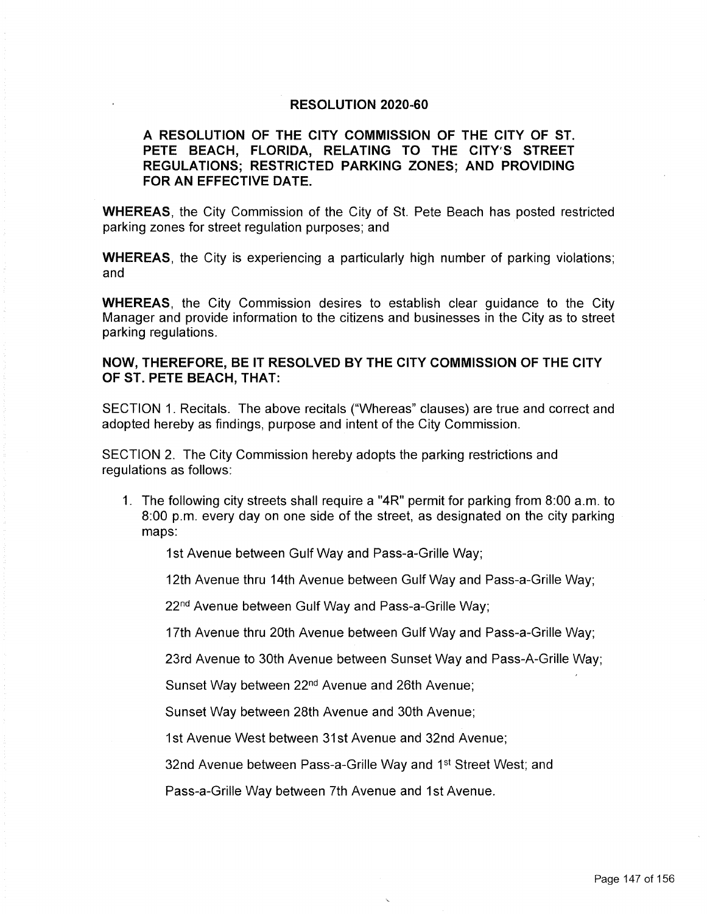## **RESOLUTION 2020-60**

## **A RESOLUTION OF THE CITY COMMISSION OF THE CITY OF ST. PETE BEACH, FLORIDA, RELATING TO THE CITY'S STREET REGULATIONS; RESTRICTED PARKING ZONES; AND PROVIDING FOR AN EFFECTIVE DATE.**

**WHEREAS,** the City Commission of the City of St. Pete Beach has posted restricted parking zones for street regulation purposes; and

**WHEREAS,** the City is experiencing a particularly high number of parking violations; and

**WHEREAS,** the City Commission desires to establish clear guidance to the City Manager and provide information to the citizens and businesses in the City as to street parking regulations.

## **NOW, THEREFORE, BE IT RESOLVED BY THE CITY COMMISSION OF THE CITY OF ST. PETE BEACH, THAT:**

SECTION 1. Recitals. The above recitals ("Whereas" clauses) are true and correct and adopted hereby as findings, purpose and intent of the City Commission.

SECTION 2. The City Commission hereby adopts the parking restrictions and regulations as follows:

1. The following city streets shall require a "4R" permit for parking from 8:00 a.m. to 8:00 p.m. every day on one side of the street, as designated on the city parking maps:

1st Avenue between Gulf Way and Pass-a-Grille Way;

12th Avenue thru 14th Avenue between Gulf Way and Pass-a-Grille Way;

22<sup>nd</sup> Avenue between Gulf Way and Pass-a-Grille Way;

17th Avenue thru 20th Avenue between Gulf Way and Pass-a-Grille Way;

23rd Avenue to 30th Avenue between Sunset Way and Pass-A-Grille Way;

Sunset Way between 22nd Avenue and 26th Avenue;

Sunset Way between 28th Avenue and 30th Avenue;

1st Avenue West between 31st Avenue and 32nd Avenue;

32nd Avenue between Pass-a-Grille Way and 1st Street West; and

Pass-a-Grille Way between 7th Avenue and 1st Avenue.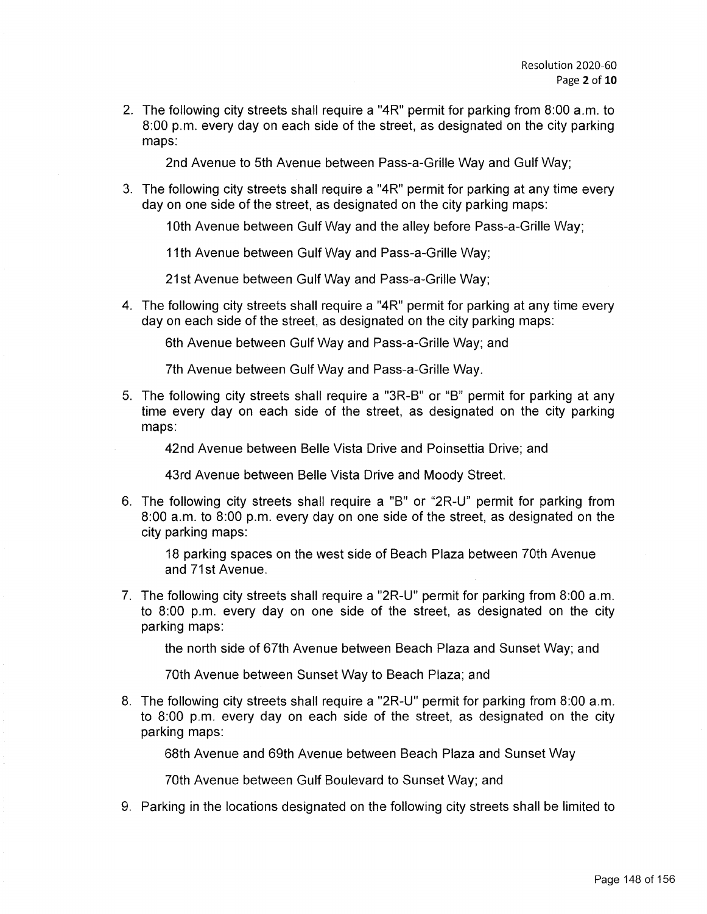2. The following city streets shall require a "4R" permit for parking from 8:00 a.m. to 8:00 p.m. every day on each side of the street, as designated on the city parking maps:

2nd Avenue to 5th Avenue between Pass-a-Grille Way and Gulf Way;

3. The following city streets shall require a "4R" permit for parking at any time every day on one side of the street, as designated on the city parking maps:

10th Avenue between Gulf Way and the alley before Pass-a-Grille Way;

11th Avenue between Gulf Way and Pass-a-Grille Way;

21st Avenue between Gulf Way and Pass-a-Grille Way;

4. The following city streets shall require a "4R" permit for parking at any time every day on each side of the street, as designated on the city parking maps:

6th Avenue between Gulf Way and Pass-a-Grille Way; and

7th Avenue between Gulf Way and Pass-a-Grille Way.

5. The following city streets shall require a "3R-B" or "B" permit for parking at any time every day on each side of the street, as designated on the city parking maps:

42nd Avenue between Belle Vista Drive and Poinsettia Drive; and

43rd Avenue between Belle Vista Drive and Moody Street.

6. The following city streets shall require a "B" or "2R-U" permit for parking from 8:00 a.m. to 8:00 p.m. every day on one side of the street, as designated on the city parking maps:

18 parking spaces on the west side of Beach Plaza between 70th Avenue and 71st Avenue.

7. The following city streets shall require a "2R-U" permit for parking from 8:00 a.m. to 8:00 p.m. every day on one side of the street, as designated on the city parking maps:

the north side of 67th Avenue between Beach Plaza and Sunset Way; and

70th Avenue between Sunset Way to Beach Plaza; and

8. The following city streets shall require a "2R-U" permit for parking from 8:00 a.m. to 8:00 p.m. every day on each side of the street, as designated on the city parking maps:

68th Avenue and 69th Avenue between Beach Plaza and Sunset Way

70th Avenue between Gulf Boulevard to Sunset Way; and

9. Parking in the locations designated on the following city streets shall be limited to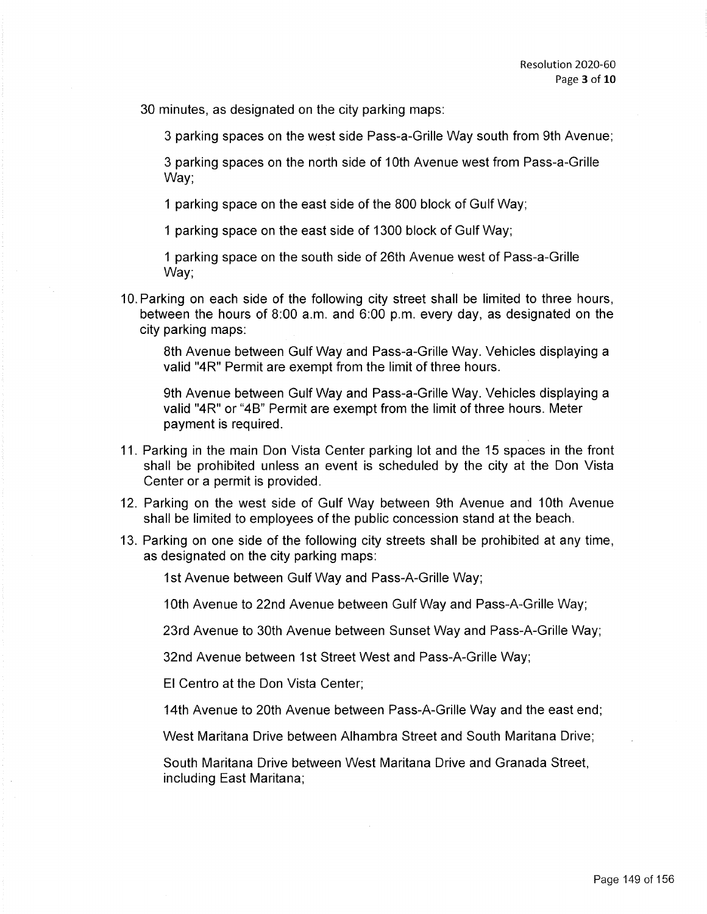30 minutes, as designated on the city parking maps:

3 parking spaces on the west side Pass-a-Grille Way south from 9th Avenue;

3 parking spaces on the north side of 10th Avenue west from Pass-a-Grille Way;

1 parking space on the east side of the 800 block of Gulf Way;

1 parking space on the east side of 1300 block of Gulf Way;

1 parking space on the south side of 26th Avenue west of Pass-a-Grille Way;

10. Parking on each side of the following city street shall be limited to three hours, between the hours of 8:00 a.m. and 6:00 p.m. every day, as designated on the city parking maps:

8th Avenue between Gulf Way and Pass-a-Grille Way. Vehicles displaying a valid "4R" Permit are exempt from the limit of three hours.

9th Avenue between Gulf Way and Pass-a-Grille Way. Vehicles displaying a valid "4R" or "4B" Permit are exempt from the limit of three hours. Meter payment is required.

- 11. Parking in the main Don Vista Center parking lot and the 15 spaces in the front shall be prohibited unless an event is scheduled by the city at the Don Vista Center or a permit is provided.
- 12. Parking on the west side of Gulf Way between 9th Avenue and 10th Avenue shall be limited to employees of the public concession stand at the beach.
- 13. Parking on one side of the following city streets shall be prohibited at any time, as designated on the city parking maps:

1st Avenue between Gulf Way and Pass-A-Grille Way;

10th Avenue to 22nd Avenue between Gulf Way and Pass-A-Grille Way;

23rd Avenue to 30th Avenue between Sunset Way and Pass-A-Grille Way;

32nd Avenue between 1st Street West and Pass-A-Grille Way;

El Centro at the Don Vista Center;

14th Avenue to 20th Avenue between Pass-A-Grille Way and the east end;

West Maritana Drive between Alhambra Street and South Maritana Drive;

South Maritana Drive between West Maritana Drive and Granada Street, including East Maritana;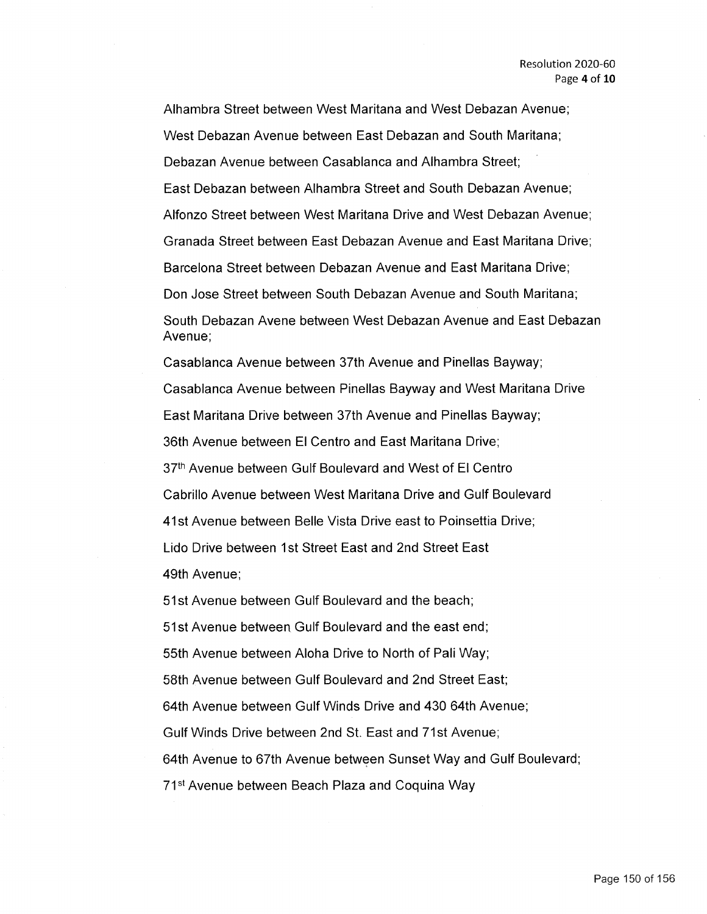Alhambra Street between West Maritana and West Debazan Avenue; West Debazan Avenue between East Debazan and South Maritana; Debazan Avenue between Casablanca and Alhambra Street; East Debazan between Alhambra Street and South Debazan Avenue; Alfonzo Street between West Maritana Drive and West Debazan Avenue; Granada Street between East Debazan Avenue and East Maritana Drive; Barcelona Street between Debazan Avenue and East Maritana Drive; Don Jose Street between South Debazan Avenue and South Maritana; South Debazan Avene between West Debazan Avenue and East Debazan Avenue;

Casablanca Avenue between 37th Avenue and Pinellas Bayway; Casablanca Avenue between Pinellas Bayway and West Maritana Drive East Maritana Drive between 37th Avenue and Pinellas Bayway; 36th Avenue between El Centro and East Maritana Drive; 37th Avenue between Gulf Boulevard and West of El Centro Cabrillo Avenue between West Maritana Drive and Gulf Boulevard 41 st Avenue between Belle Vista Drive east to Poinsettia Drive; Lido Drive between 1st Street East and 2nd Street East 49th Avenue;

51 st Avenue between Gulf Boulevard and the beach; 51 st Avenue between Gulf Boulevard and the east end; 55th Avenue between Aloha Drive to North of Pali Way; 58th Avenue between Gulf Boulevard and 2nd Street East; 64th Avenue between Gulf Winds Drive and 430 64th Avenue; Gulf Winds Drive between 2nd St. East and 71st Avenue; 64th Avenue to 67th Avenue between Sunset Way and Gulf Boulevard; 71<sup>st</sup> Avenue between Beach Plaza and Coquina Way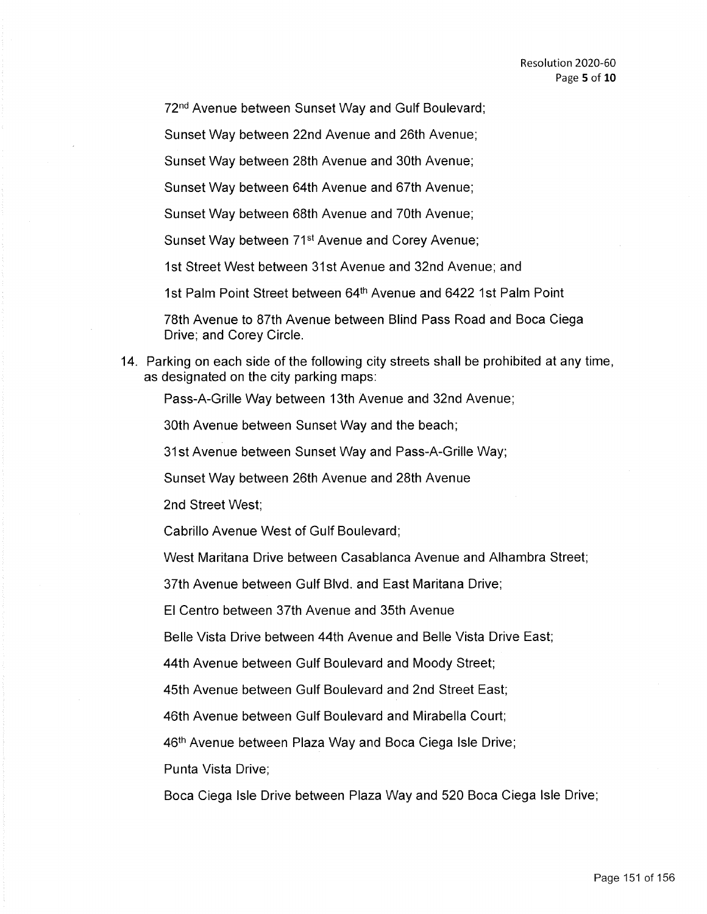72nd Avenue between Sunset Way and Gulf Boulevard;

Sunset Way between 22nd Avenue and 26th Avenue;

Sunset Way between 28th Avenue and 30th Avenue;

Sunset Way between 64th Avenue and 67th Avenue;

Sunset Way between 68th Avenue and 70th Avenue;

Sunset Way between 71<sup>st</sup> Avenue and Corey Avenue;

1st Street West between 31st Avenue and 32nd Avenue; and

1st Palm Point Street between 64<sup>th</sup> Avenue and 6422 1st Palm Point

78th Avenue to 87th Avenue between Blind Pass Road and Boca Ciega Drive; and Corey Circle.

14. Parking on each side of the following city streets shall be prohibited at any time, as designated on the city parking maps:

Pass-A-Grille Way between 13th Avenue and 32nd Avenue;

30th Avenue between Sunset Way and the beach;

31st Avenue between Sunset Way and Pass-A-Grille Way;

Sunset Way between 26th Avenue and 28th Avenue

2nd Street West;

Cabrillo Avenue West of Gulf Boulevard;

West Maritana Drive between Casablanca Avenue and Alhambra Street;

37th Avenue between Gulf Blvd. and East Maritana Drive;

El Centro between 37th Avenue and 35th Avenue

Belle Vista Drive between 44th Avenue and Belle Vista Drive East;

44th Avenue between Gulf Boulevard and Moody Street;

45th Avenue between Gulf Boulevard and 2nd Street East;

46th Avenue between Gulf Boulevard and Mirabella Court;

46<sup>th</sup> Avenue between Plaza Way and Boca Ciega Isle Drive;

Punta Vista Drive;

Boca Ciega Isle Drive between Plaza Way and 520 Boca Ciega Isle Drive;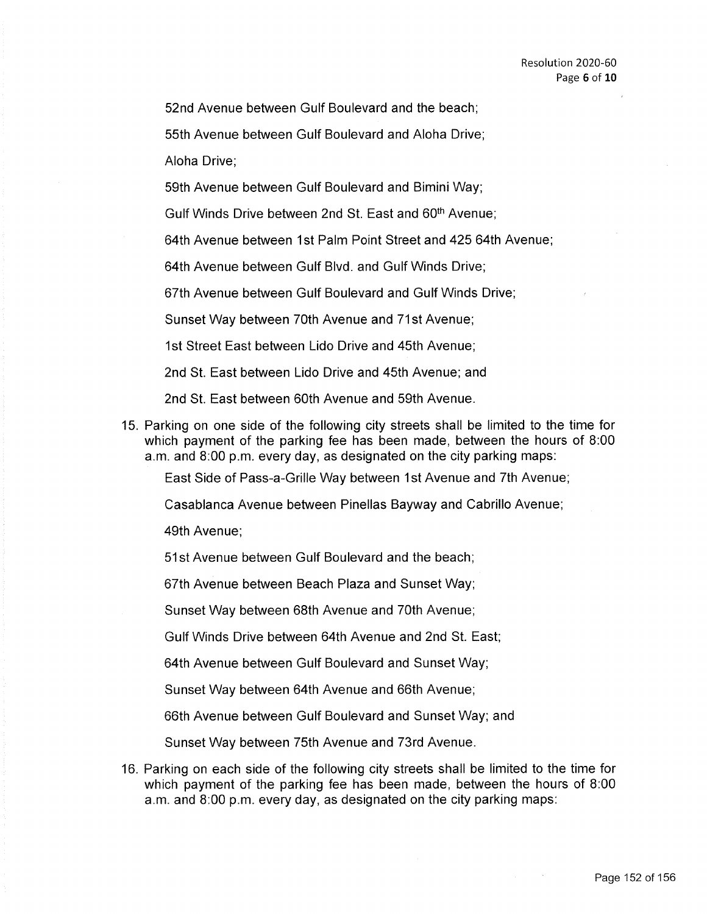52nd Avenue between Gulf Boulevard and the beach;

55th Avenue between Gulf Boulevard and Aloha Drive;

Aloha Drive;

59th Avenue between Gulf Boulevard and Bimini Way;

Gulf Winds Drive between 2nd St. East and 60<sup>th</sup> Avenue;

64th Avenue between 1st Palm Point Street and 425 64th Avenue;

64th Avenue between Gulf Blvd. and Gulf Winds Drive;

67th Avenue between Gulf Boulevard and Gulf Winds Drive;

Sunset Way between 70th Avenue and 71st Avenue;

1st Street East between Lido Drive and 45th Avenue;

2nd St. East between Lido Drive and 45th Avenue; and

2nd St. East between 60th Avenue and 59th Avenue.

15. Parking on one side of the following city streets shall be limited to the time for which payment of the parking fee has been made, between the hours of 8:00 a.m. and 8:00 p.m. every day, as designated on the city parking maps:

East Side of Pass-a-Grille Way between 1st Avenue and 7th Avenue;

Casablanca Avenue between Pinellas Bayway and Cabrillo Avenue;

49th Avenue;

51 st Avenue between Gulf Boulevard and the beach;

67th Avenue between Beach Plaza and Sunset Way;

Sunset Way between 68th Avenue and 70th Avenue;

Gulf Winds Drive between 64th Avenue and 2nd St. East;

64th Avenue between Gulf Boulevard and Sunset Way;

Sunset Way between 64th Avenue and 66th Avenue;

66th Avenue between Gulf Boulevard and Sunset Way; and

Sunset Way between 75th Avenue and 73rd Avenue.

16. Parking on each side of the following city streets shall be limited to the time for which payment of the parking fee has been made, between the hours of 8:00 a.m. and 8:00 p.m. every day, as designated on the city parking maps: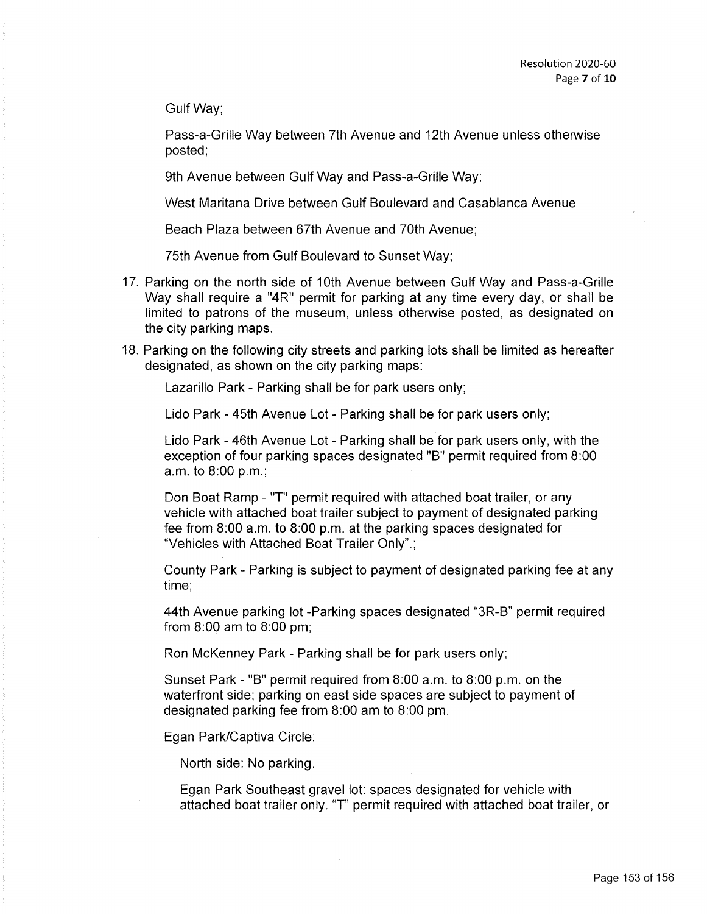Gulf Way;

Pass-a-Grille Way between 7th Avenue and 12th Avenue unless otherwise posted;

9th Avenue between Gulf Way and Pass-a-Grille Way;

West Maritana Drive between Gulf Boulevard and Casablanca Avenue

Beach Plaza between 67th Avenue and 70th Avenue;

75th Avenue from Gulf Boulevard to Sunset Way;

- 17. Parking on the north side of 10th Avenue between Gulf Way and Pass-a-Grille Way shall require a "4R" permit for parking at any time every day, or shall be limited to patrons of the museum, unless otherwise posted, as designated on the city parking maps.
- 18. Parking on the following city streets and parking lots shall be limited as hereafter designated, as shown on the city parking maps:

Lazarillo Park - Parking shall be for park users only;

Lido Park - 45th Avenue Lot - Parking shall be for park users only;

Lido Park - 46th Avenue Lot - Parking shall be for park users only, with the exception of four parking spaces designated "B" permit required from 8:00 a.m. to 8:00 p.m.;

Don Boat Ramp - "T" permit required with attached boat trailer, or any vehicle with attached boat trailer subject to payment of designated parking fee from 8:00 a.m. to 8:00 p.m. at the parking spaces designated for "Vehicles with Attached Boat Trailer Only".;

County Park - Parking is subject to payment of designated parking fee at any time;

44th Avenue parking lot -Parking spaces designated "3R-B" permit required from 8:00 am to 8:00 pm;

Ron McKenney Park - Parking shall be for park users only;

Sunset Park - "B" permit required from 8:00 a.m. to 8:00 p.m. on the waterfront side; parking on east side spaces are subject to payment of designated parking fee from 8:00 am to 8:00 pm.

Egan Park/Captiva Circle:

North side: No parking.

Egan Park Southeast gravel lot: spaces designated for vehicle with attached boat trailer only. 'T' permit required with attached boat trailer, or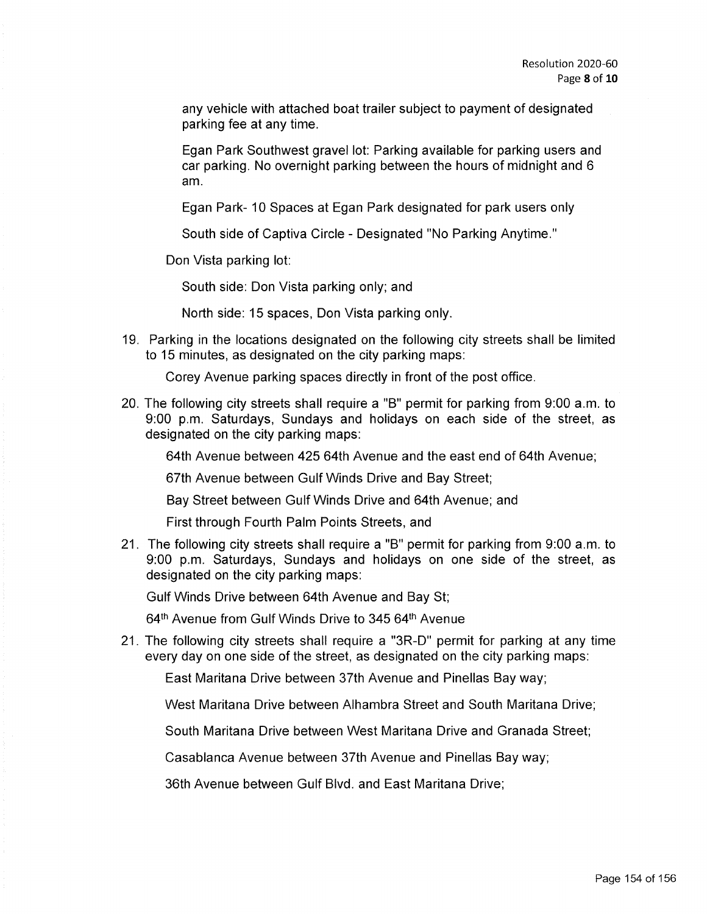any vehicle with attached boat trailer subject to payment of designated parking fee at any time.

Egan Park Southwest gravel lot: Parking available for parking users and car parking. No overnight parking between the hours of midnight and 6 am.

Egan Park- 10 Spaces at Egan Park designated for park users only

South side of Captiva Circle - Designated "No Parking Anytime."

Don Vista parking lot:

South side: Don Vista parking only; and

North side: 15 spaces, Don Vista parking only.

19. Parking in the locations designated on the following city streets shall be limited to 15 minutes, as designated on the city parking maps:

Corey Avenue parking spaces directly in front of the post office.

20. The following city streets shall require a "B" permit for parking from 9:00 a.m. to 9:00 p.m. Saturdays, Sundays and holidays on each side of the street, as designated on the city parking maps:

64th Avenue between 425 64th Avenue and the east end of 64th Avenue;

67th Avenue between Gulf Winds Drive and Bay Street;

Bay Street between Gulf Winds Drive and 64th Avenue; and

First through Fourth Palm Points Streets, and

21. The following city streets shall require a "B" permit for parking from 9:00 a.m. to 9:00 p.m. Saturdays, Sundays and holidays on one side of the street, as designated on the city parking maps:

Gulf Winds Drive between 64th Avenue and Bay St;

64<sup>th</sup> Avenue from Gulf Winds Drive to 345 64<sup>th</sup> Avenue

21. The following city streets shall require a "3R-D" permit for parking at any time every day on one side of the street, as designated on the city parking maps:

East Maritana Drive between 37th Avenue and Pinellas Bay way;

West Maritana Drive between Alhambra Street and South Maritana Drive;

South Maritana Drive between West Maritana Drive and Granada Street;

Casablanca Avenue between 37th Avenue and Pinellas Bay way;

36th Avenue between Gulf Blvd. and East Maritana Drive;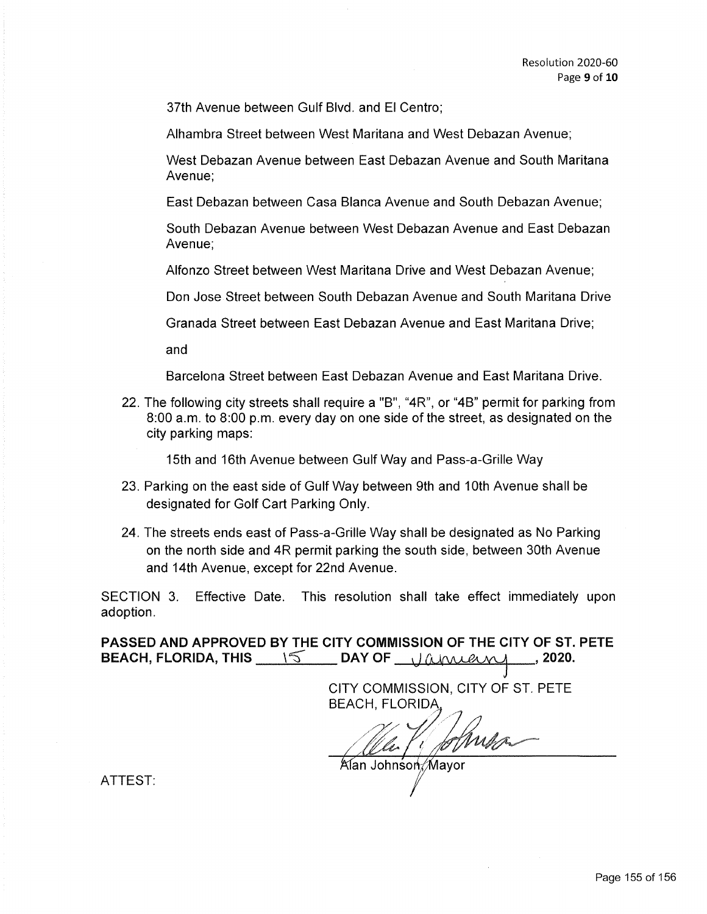37th Avenue between Gulf Blvd. and El Centro;

Alhambra Street between West Maritana and West Debazan Avenue;

West Debazan Avenue between East Debazan Avenue and South Maritana Avenue;

East Debazan between Casa Blanca Avenue and South Debazan Avenue;

South Debazan Avenue between West Debazan Avenue and East Debazan Avenue;

Alfonzo Street between West Maritana Drive and West Debazan Avenue;

Don Jose Street between South Debazan Avenue and South Maritana Drive

Granada Street between East Debazan Avenue and East Maritana Drive;

and

Barcelona Street between East Debazan Avenue and East Maritana Drive.

22. The following city streets shall require a "B", "4R", or "4B" permit for parking from 8:00 a.m. to 8:00 p.m. every day on one side of the street, as designated on the city parking maps:

15th and 16th Avenue between Gulf Way and Pass-a-Grille Way

- 23. Parking on the east side of Gulf Way between 9th and 10th Avenue shall be designated for Golf Cart Parking Only.
- 24. The streets ends east of Pass-a-Grille Way shall be designated as No Parking on the north side and 4R permit parking the south side, between 30th Avenue and 14th Avenue, except for 22nd Avenue.

SECTION 3. Effective Date. This resolution shall take effect immediately upon adoption.

**PASSED AND APPROVED BY THE CITY COMMISSION OF THE CITY OF ST. PETE BEACH, FLORIDA, THIS** \ ~ **DAY OF** I) *{A,~* , **2020.** 

CITY COMMISSION, CITY OF ST. PETE BEACH, FLORIDA

Alan Johnson Mayor

ATTEST: